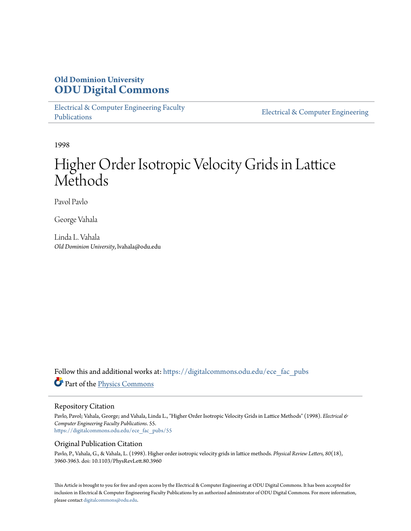## **Old Dominion University [ODU Digital Commons](https://digitalcommons.odu.edu?utm_source=digitalcommons.odu.edu%2Fece_fac_pubs%2F55&utm_medium=PDF&utm_campaign=PDFCoverPages)**

[Electrical & Computer Engineering Faculty](https://digitalcommons.odu.edu/ece_fac_pubs?utm_source=digitalcommons.odu.edu%2Fece_fac_pubs%2F55&utm_medium=PDF&utm_campaign=PDFCoverPages) [Publications](https://digitalcommons.odu.edu/ece_fac_pubs?utm_source=digitalcommons.odu.edu%2Fece_fac_pubs%2F55&utm_medium=PDF&utm_campaign=PDFCoverPages)

[Electrical & Computer Engineering](https://digitalcommons.odu.edu/ece?utm_source=digitalcommons.odu.edu%2Fece_fac_pubs%2F55&utm_medium=PDF&utm_campaign=PDFCoverPages)

1998

# Higher Order Isotropic Velocity Grids in Lattice Methods

Pavol Pavlo

George Vahala

Linda L. Vahala *Old Dominion University*, lvahala@odu.edu

Follow this and additional works at: [https://digitalcommons.odu.edu/ece\\_fac\\_pubs](https://digitalcommons.odu.edu/ece_fac_pubs?utm_source=digitalcommons.odu.edu%2Fece_fac_pubs%2F55&utm_medium=PDF&utm_campaign=PDFCoverPages) Part of the [Physics Commons](http://network.bepress.com/hgg/discipline/193?utm_source=digitalcommons.odu.edu%2Fece_fac_pubs%2F55&utm_medium=PDF&utm_campaign=PDFCoverPages)

#### Repository Citation

Pavlo, Pavol; Vahala, George; and Vahala, Linda L., "Higher Order Isotropic Velocity Grids in Lattice Methods" (1998). *Electrical & Computer Engineering Faculty Publications*. 55. [https://digitalcommons.odu.edu/ece\\_fac\\_pubs/55](https://digitalcommons.odu.edu/ece_fac_pubs/55?utm_source=digitalcommons.odu.edu%2Fece_fac_pubs%2F55&utm_medium=PDF&utm_campaign=PDFCoverPages)

### Original Publication Citation

Pavlo, P., Vahala, G., & Vahala, L. (1998). Higher order isotropic velocity grids in lattice methods. *Physical Review Letters, 80*(18), 3960-3963. doi: 10.1103/PhysRevLett.80.3960

This Article is brought to you for free and open access by the Electrical & Computer Engineering at ODU Digital Commons. It has been accepted for inclusion in Electrical & Computer Engineering Faculty Publications by an authorized administrator of ODU Digital Commons. For more information, please contact [digitalcommons@odu.edu](mailto:digitalcommons@odu.edu).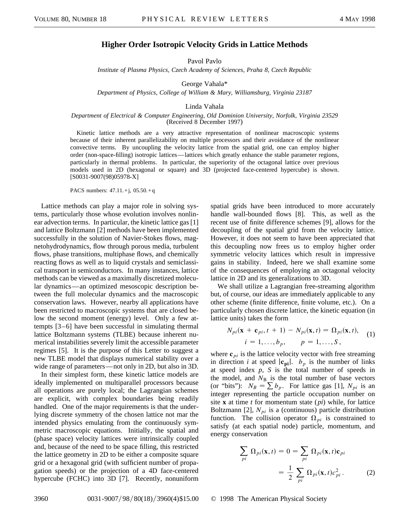### **Higher Order Isotropic Velocity Grids in Lattice Methods**

Pavol Pavlo

*Institute of Plasma Physics, Czech Academy of Sciences, Praha 8, Czech Republic*

George Vahala\*

*Department of Physics, College of William & Mary, Williamsburg, Virginia 23187*

Linda Vahala

#### *Department of Electrical & Computer Engineering, Old Dominion University, Norfolk, Virginia 23529* (Received 8 December 1997)

Kinetic lattice methods are a very attractive representation of nonlinear macroscopic systems because of their inherent parallelizability on multiple processors and their avoidance of the nonlinear convective terms. By uncoupling the velocity lattice from the spatial grid, one can employ higher order (non-space-filling) isotropic lattices—lattices which greatly enhance the stable parameter regions, particularly in thermal problems. In particular, the superiority of the octagonal lattice over previous models used in 2D (hexagonal or square) and 3D (projected face-centered hypercube) is shown. [S0031-9007(98)05978-X]

PACS numbers: 47.11.+j, 05.50.+ q

Lattice methods can play a major role in solving systems, particularly those whose evolution involves nonlinear advection terms. In particular, the kinetic lattice gas [1] and lattice Boltzmann [2] methods have been implemented successfully in the solution of Navier-Stokes flows, magnetohydrodynamics, flow through porous media, turbulent flows, phase transitions, multiphase flows, and chemically reacting flows as well as to liquid crystals and semiclassical transport in semiconductors. In many instances, lattice methods can be viewed as a maximally discretized molecular dynamics—an optimized mesoscopic description between the full molecular dynamics and the macroscopic conservation laws. However, nearby all applications have been restricted to macroscopic systems that are closed below the second moment (energy) level. Only a few attempts [3–6] have been successful in simulating thermal lattice Boltzmann systems (TLBE) because inherent numerical instabilities severely limit the accessible parameter regimes [5]. It is the purpose of this Letter to suggest a new TLBE model that displays numerical stability over a wide range of parameters—not only in 2D, but also in 3D.

In their simplest form, these kinetic lattice models are ideally implemented on multiparallel processors because all operations are purely local; the Lagrangian schemes are explicit, with complex boundaries being readily handled. One of the major requirements is that the underlying discrete symmetry of the chosen lattice not mar the intended physics emulating from the continuously symmetric macroscopic equations. Initially, the spatial and (phase space) velocity lattices were intrinsically coupled and, because of the need to be space filling, this restricted the lattice geometry in 2D to be either a composite square grid or a hexagonal grid (with sufficient number of propagation speeds) or the projection of a 4D face-centered hypercube (FCHC) into 3D [7]. Recently, nonuniform

spatial grids have been introduced to more accurately handle wall-bounded flows [8]. This, as well as the recent use of finite difference schemes [9], allows for the decoupling of the spatial grid from the velocity lattice. However, it does not seem to have been appreciated that this decoupling now frees us to employ higher order symmetric velocity lattices which result in impressive gains in stability. Indeed, here we shall examine some of the consequences of employing an octagonal velocity lattice in 2D and its generalizations to 3D.

We shall utilize a Lagrangian free-streaming algorithm but, of course, our ideas are immediately applicable to any other scheme (finite difference, finite volume, etc.). On a particularly chosen discrete lattice, the kinetic equation (in lattice units) takes the form

$$
N_{pi}(\mathbf{x} + \mathbf{c}_{pi}, t + 1) - N_{pi}(\mathbf{x}, t) = \Omega_{pi}(\mathbf{x}, t),
$$
  
\n
$$
i = 1, \dots, b_p, \qquad p = 1, \dots, S,
$$
 (1)

where  $\mathbf{c}_{pi}$  is the lattice velocity vector with free streaming in direction *i* at speed  $|\mathbf{c}_{pi}|$ .  $b_p$  is the number of links at speed index *p, S* is the total number of speeds in the model, and  $N_B$  is the total number of base vectors (or "bits"):  $N_B = \sum b_p$ . For lattice gas [1],  $N_{pi}$  is an integer representing the particle occupation number on site **x** at time *t* for momentum state (*pi*) while, for lattice Boltzmann [2],  $N_{pi}$  is a (continuous) particle distribution function. The collision operator  $\Omega_{pi}$  is constrained to satisfy (at each spatial node) particle, momentum, and energy conservation

$$
\sum_{pi} \Omega_{pi}(\mathbf{x}, t) = 0 = \sum_{pi} \Omega_{pi}(\mathbf{x}, t) \mathbf{c}_{pi}
$$

$$
= \frac{1}{2} \sum_{pi} \Omega_{pi}(\mathbf{x}, t) c_{pi}^{2}.
$$
 (2)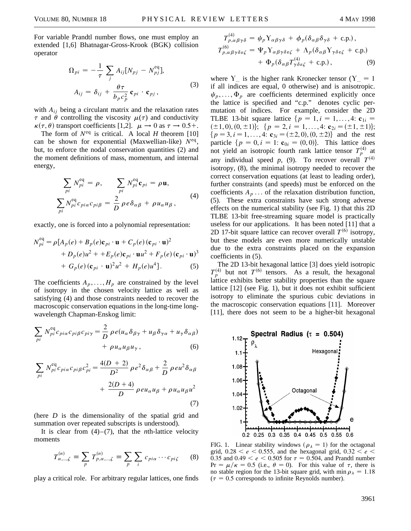For variable Prandtl number flows, one must employ an extended [1,6] Bhatnagar-Gross-Krook (BGK) collision operator

$$
\Omega_{pi} = -\frac{1}{\tau} \sum_{j} A_{ij} [N_{pj} - N_{pj}^{\text{eq}}],
$$
  
\n
$$
A_{ij} = \delta_{ij} + \frac{\theta \tau}{b_p c_p^2} \mathbf{c}_{pi} \cdot \mathbf{c}_{pj},
$$
\n(3)

with  $A_{ij}$  being a circulant matrix and the relaxation rates  $\tau$  and  $\theta$  controlling the viscosity  $\mu(\tau)$  and conductivity  $\kappa(\tau, \theta)$  transport coefficients [1,2].  $\mu \rightarrow 0$  as  $\tau \rightarrow 0.5+$ .

The form of  $N^{eq}$  is critical. A local *H* theorem [10] can be shown for exponential (Maxwellian-like) *N*eq, but, to enforce the nodal conservation quantities (2) and the moment definitions of mass, momentum, and internal energy,

$$
\sum_{pi} N_{pi}^{\text{eq}} = \rho, \qquad \sum_{pi} N_{pi}^{\text{eq}} \mathbf{c}_{pi} = \rho \mathbf{u},
$$
\n
$$
\sum_{pi} N_{pi}^{\text{eq}} c_{pi} \mathbf{c}_{pi} = \frac{2}{D} \rho e \delta_{\alpha \beta} + \rho u_{\alpha} u_{\beta},
$$
\n(4)

exactly, one is forced into a polynomial representation:

$$
N_{pi}^{\text{eq}} = \rho [A_p(e) + B_p(e)\mathbf{c}_{pi} \cdot \mathbf{u} + C_p(e) (\mathbf{c}_{pi} \cdot \mathbf{u})^2
$$
  
+  $D_p(e)u^2 + + E_p(e)\mathbf{c}_{pi} \cdot \mathbf{u}u^2 + F_p(e) (\mathbf{c}_{pi} \cdot \mathbf{u})^3$   
+  $G_p(e) (\mathbf{c}_{pi} \cdot \mathbf{u})^2 u^2 + H_p(e)u^4$ ]. (5)

The coefficients  $A_p, \ldots, H_p$  are constrained by the level of isotropy in the chosen velocity lattice as well as satisfying (4) and those constraints needed to recover the macroscopic conservation equations in the long-time longwavelength Chapman-Enskog limit:

$$
\sum_{pi} N_{pi}^{eq} c_{pi\alpha} c_{pi\beta} c_{pi\gamma} = \frac{2}{D} \rho e (u_{\alpha} \delta_{\beta\gamma} + u_{\beta} \delta_{\gamma\alpha} + u_{\gamma} \delta_{\alpha\beta}) + \rho u_{\alpha} u_{\beta} u_{\gamma}, \qquad (6)
$$

$$
\sum_{pi} N_{pi}^{eq} c_{pi\alpha} c_{pi\beta} c_{pi}^{2} = \frac{4(D+2)}{D^{2}} \rho e^{2} \delta_{\alpha\beta} + \frac{2}{D} \rho e u^{2} \delta_{\alpha\beta} + \frac{2(D+4)}{D} \rho e u_{\alpha} u_{\beta} + \rho u_{\alpha} u_{\beta} u^{2}
$$
\n(7)

(here *D* is the dimensionality of the spatial grid and summation over repeated subscripts is understood).

It is clear from  $(4)$ – $(7)$ , that the *n*th-lattice velocity moments

$$
T_{\alpha,\dots,\zeta}^{(n)} \equiv \sum_{p} T_{p,\alpha,\dots,\zeta}^{(n)} \equiv \sum_{p} \sum_{i} c_{pi} \cdots c_{pi} \zeta \qquad (8)
$$

play a critical role. For arbitrary regular lattices, one finds

$$
T_{p,\alpha\beta\gamma\delta}^{(4)} = \psi_p Y_{\alpha\beta\gamma\delta} + \phi_p (\delta_{\alpha\beta}\delta_{\gamma\delta} + \text{c.p.}),
$$
  
\n
$$
T_{p,\alpha\beta\gamma\delta\varepsilon\zeta}^{(6)} = \Psi_p Y_{\alpha\beta\gamma\delta\varepsilon\zeta} + \Lambda_p (\delta_{\alpha\beta} Y_{\gamma\delta\varepsilon\zeta} + \text{c.p.})
$$
  
\n
$$
+ \Phi_p (\delta_{\alpha\beta} T_{\gamma\delta\varepsilon\zeta}^{(4)} + \text{c.p.}), \qquad (9)
$$

where  $Y_{\dots}$  is the higher rank Kronecker tensor ( $Y_{\dots} = 1$ if all indices are equal, 0 otherwise) and is anisotropic.  $\psi_p, \ldots, \Phi_p$  are coefficients determined explicitly once the lattice is specified and "c.p." denotes cyclic permutation of indices. For example, consider the 2D TLBE 13-bit square lattice  $\{p = 1, i = 1, ..., 4: c_{1i} =$  $(\pm 1, 0), (0, \pm 1)$ ;  $\{p = 2, i = 1, ..., 4:$  **c**<sub>2*i*</sub> =  $(\pm 1, \pm 1)$ };  $\{p = 3, i = 1, ..., 4$ :  $\mathbf{c}_{3i} = (\pm 2, 0), (0, \pm 2)\}$  and the rest particle  ${p = 0, i = 1: \mathbf{c}_{0i} = (0, 0)}$ . This lattice does not yield an isotropic fourth rank lattice tensor  $T_p^{(4)}$  at any individual speed *p*, (9). To recover overall  $T^{(4)}$ isotropy, (8), the minimal isotropy needed to recover the correct conservation equations (at least to leading order), further constraints (and speeds) must be enforced on the coefficients  $A_p \ldots$  of the relaxation distribution function, (5). These extra constraints have such strong adverse effects on the numerical stability (see Fig. 1) that this 2D TLBE 13-bit free-streaming square model is practically useless for our applications. It has been noted [11] that a 2D 17-bit square lattice can recover overall  $T^{(6)}$  isotropy, but these models are even more numerically unstable due to the extra constraints placed on the expansion coefficients in (5).

The 2D 13-bit hexagonal lattice [3] does yield isotropic  $T_p^{(4)}$  but not  $T^{(6)}$  tensors. As a result, the hexagonal lattice exhibits better stability properties than the square lattice [12] (see Fig. 1), but it does not exhibit sufficient isotropy to eliminate the spurious cubic deviations in the macroscopic conservation equations [11]. Moreover [11], there does not seem to be a higher-bit hexagonal



FIG. 1. Linear stability windows ( $\rho_{\lambda} = 1$ ) for the octagonal grid,  $0.28 < e < 0.555$ , and the hexagonal grid,  $0.32 < e <$ 0.35 and  $0.49 < e < 0.505$  for  $\tau = 0.504$ , and Prandtl number  $Pr = \mu/\kappa = 0.5$  (i.e.,  $\theta = 0$ ). For this value of  $\tau$ , there is no stable region for the 13-bit square grid, with min  $\rho_{\lambda} = 1.18$  $(\tau = 0.5$  corresponds to infinite Reynolds number).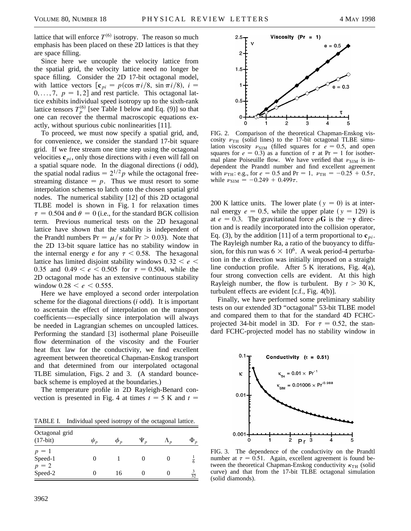lattice that will enforce  $T^{(6)}$  isotropy. The reason so much emphasis has been placed on these 2D lattices is that they are space filling.

Since here we uncouple the velocity lattice from the spatial grid, the velocity lattice need no longer be space filling. Consider the 2D 17-bit octagonal model, with lattice vectors  $\left[\mathbf{c}_{pi} = p(\cos \pi i/8, \sin \pi i/8), i = \right]$  $0, \ldots, 7, p = 1, 2$  and rest particle. This octagonal lattice exhibits individual speed isotropy up to the sixth-rank lattice tensors  $T_p^{(6)}$  [see Table I below and Eq. (9)] so that one can recover the thermal macroscopic equations exactly, without spurious cubic nonlinearities [11].

To proceed, we must now specify a spatial grid, and, for convenience, we consider the standard 17-bit square grid. If we free stream one time step using the octagonal velocities  $\mathbf{c}_{pi}$ , only those directions with *i* even will fall on a spatial square node. In the diagonal directions (*i* odd), the spatial nodal radius  $= 2^{1/2} p$  while the octagonal freestreaming distance  $= p$ . Thus we must resort to some interpolation schemes to latch onto the chosen spatial grid nodes. The numerical stability [12] of this 2D octagonal TLBE model is shown in Fig. 1 for relaxation times  $\tau = 0.504$  and  $\theta = 0$  (i.e., for the standard BGK collision term. Previous numerical tests on the 2D hexagonal lattice have shown that the stability is independent of the Prandtl numbers  $Pr = \mu/\kappa$  for  $Pr > 0.03$ . Note that the 2D 13-bit square lattice has no stability window in the internal energy *e* for any  $\tau$  < 0.58. The hexagonal lattice has limited disjoint stability windows  $0.32 < e <$ 0.35 and  $0.49 < e < 0.505$  for  $\tau = 0.504$ , while the 2D octagonal mode has an extensive continuous stability window  $0.28 < e < 0.555$ .

Here we have employed a second order interpolation scheme for the diagonal directions (*i* odd). It is important to ascertain the effect of interpolation on the transport coefficients—especially since interpolation will always be needed in Lagrangian schemes on uncoupled lattices. Performing the standard [3] isothermal plane Poiseuille flow determination of the viscosity and the Fourier heat flux law for the conductivity, we find excellent agreement between theoretical Chapman-Enskog transport and that determined from our interpolated octagonal TLBE simulation, Figs. 2 and 3. (A standard bounceback scheme is employed at the boundaries.)

The temperature profile in 2D Rayleigh-Benard convection is presented in Fig. 4 at times  $t = 5$  K and  $t =$ 

TABLE I. Individual speed isotropy of the octagonal lattice.

| Octagonal grid<br>$(17-bit)$ | $\psi_{p}$ | $\phi_{v}$ | $\Psi_p$ | $\Lambda_n$ | $\Phi_p$       |
|------------------------------|------------|------------|----------|-------------|----------------|
| $p = 1$<br>Speed-1           |            |            |          |             | $\overline{6}$ |
| $p = 2$<br>Speed-2           |            | 16         |          |             | $rac{3}{32}$   |



FIG. 2. Comparison of the theoretical Chapman-Enskog viscosity  $v_{TH}$  (solid lines) to the 17-bit octagonal TLBE simulation viscosity  $v_{\text{SIM}}$  (filled squares for  $e = 0.5$ , and open squares for  $e = 0.3$ ) as a function of  $\tau$  at Pr = 1 for isothermal plane Poiseuille flow. We have verified that  $v_{\text{SIM}}$  is independent the Prandtl number and find excellent agreement with  $\nu_{TH}$ : e.g., for  $e = 0.5$  and Pr = 1,  $\nu_{TH} = -0.25 + 0.5\tau$ , while  $\nu_{\text{SIM}} = -0.249 + 0.499\tau$ .

200 K lattice units. The lower plate  $(y = 0)$  is at internal energy  $e = 0.5$ , while the upper plate ( $y = 129$ ) is at  $e = 0.3$ . The gravitational force  $\rho G$  is the  $-\mathbf{y}$  direction and is readily incorporated into the collision operator, Eq. (3), by the addition [11] of a term proportional to  $\mathbf{c}_{pi}$ . The Rayleigh number Ra, a ratio of the buoyancy to diffusion, for this run was  $6 \times 10^6$ . A weak period-4 perturbation in the *x* direction was initially imposed on a straight line conduction profile. After 5 K iterations, Fig. 4(a), four strong convection cells are evident. At this high Rayleigh number, the flow is turbulent. By  $t > 30$  K, turbulent effects are evident [c.f., Fig. 4(b)].

Finally, we have performed some preliminary stability tests on our extended 3D "octagonal" 53-bit TLBE model and compared them to that for the standard 4D FCHCprojected 34-bit model in 3D. For  $\tau = 0.52$ , the standard FCHC-projected model has no stability window in



FIG. 3. The dependence of the conductivity on the Prandtl number at  $\tau = 0.51$ . Again, excellent agreement is found between the theoretical Chapman-Enskog conductivity  $\kappa_{TH}$  (solid curve) and that from the 17-bit TLBE octagonal simulation (solid diamonds).